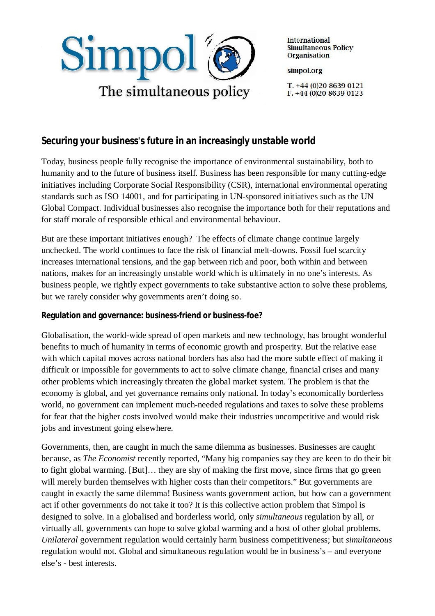

**International Simultaneous Policy Organisation** 

simpol.org

T. +44 (0)20 8639 0121  $F. +44(0)2086390123$ 

### **Securing your business's future in an increasingly unstable world**

Today, business people fully recognise the importance of environmental sustainability, both to humanity and to the future of business itself. Business has been responsible for many cutting-edge initiatives including Corporate Social Responsibility (CSR), international environmental operating standards such as ISO 14001, and for participating in UN-sponsored initiatives such as the UN Global Compact. Individual businesses also recognise the importance both for their reputations and for staff morale of responsible ethical and environmental behaviour.

But are these important initiatives enough? The effects of climate change continue largely unchecked. The world continues to face the risk of financial melt-downs. Fossil fuel scarcity increases international tensions, and the gap between rich and poor, both within and between nations, makes for an increasingly unstable world which is ultimately in no one's interests. As business people, we rightly expect governments to take substantive action to solve these problems, but we rarely consider why governments aren't doing so.

#### **Regulation and governance: business-friend or business-foe?**

Globalisation, the world-wide spread of open markets and new technology, has brought wonderful benefits to much of humanity in terms of economic growth and prosperity. But the relative ease with which capital moves across national borders has also had the more subtle effect of making it difficult or impossible for governments to act to solve climate change, financial crises and many other problems which increasingly threaten the global market system. The problem is that the economy is global, and yet governance remains only national. In today's economically borderless world, no government can implement much-needed regulations and taxes to solve these problems for fear that the higher costs involved would make their industries uncompetitive and would risk jobs and investment going elsewhere.

Governments, then, are caught in much the same dilemma as businesses. Businesses are caught because, as *The Economist* recently reported, "Many big companies say they are keen to do their bit to fight global warming. [But]… they are shy of making the first move, since firms that go green will merely burden themselves with higher costs than their competitors." But governments are caught in exactly the same dilemma! Business wants government action, but how can a government act if other governments do not take it too? It is this collective action problem that Simpol is designed to solve. In a globalised and borderless world, only *simultaneous* regulation by all, or virtually all, governments can hope to solve global warming and a host of other global problems. *Unilateral* government regulation would certainly harm business competitiveness; but *simultaneous* regulation would not. Global and simultaneous regulation would be in business's – and everyone else's - best interests.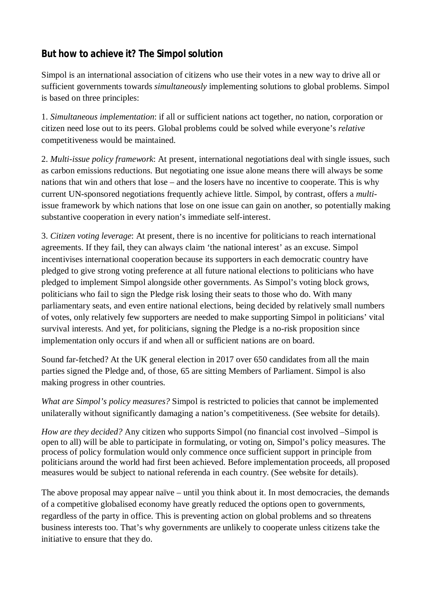## **But how to achieve it? The Simpol solution**

Simpol is an international association of citizens who use their votes in a new way to drive all or sufficient governments towards *simultaneously* implementing solutions to global problems. Simpol is based on three principles:

1. *Simultaneous implementation*: if all or sufficient nations act together, no nation, corporation or citizen need lose out to its peers. Global problems could be solved while everyone's *relative* competitiveness would be maintained.

2. *Multi-issue policy framework*: At present, international negotiations deal with single issues, such as carbon emissions reductions. But negotiating one issue alone means there will always be some nations that win and others that lose – and the losers have no incentive to cooperate. This is why current UN-sponsored negotiations frequently achieve little. Simpol, by contrast, offers a *multi*issue framework by which nations that lose on one issue can gain on another, so potentially making substantive cooperation in every nation's immediate self-interest.

3. *Citizen voting leverage*: At present, there is no incentive for politicians to reach international agreements. If they fail, they can always claim 'the national interest' as an excuse. Simpol incentivises international cooperation because its supporters in each democratic country have pledged to give strong voting preference at all future national elections to politicians who have pledged to implement Simpol alongside other governments. As Simpol's voting block grows, politicians who fail to sign the Pledge risk losing their seats to those who do. With many parliamentary seats, and even entire national elections, being decided by relatively small numbers of votes, only relatively few supporters are needed to make supporting Simpol in politicians' vital survival interests. And yet, for politicians, signing the Pledge is a no-risk proposition since implementation only occurs if and when all or sufficient nations are on board.

Sound far-fetched? At the UK general election in 2017 over 650 candidates from all the main parties signed the Pledge and, of those, 65 are sitting Members of Parliament. Simpol is also making progress in other countries.

*What are Simpol's policy measures?* Simpol is restricted to policies that cannot be implemented unilaterally without significantly damaging a nation's competitiveness. (See website for details).

*How are they decided?* Any citizen who supports Simpol (no financial cost involved –Simpol is open to all) will be able to participate in formulating, or voting on, Simpol's policy measures. The process of policy formulation would only commence once sufficient support in principle from politicians around the world had first been achieved. Before implementation proceeds, all proposed measures would be subject to national referenda in each country. (See website for details).

The above proposal may appear naïve – until you think about it. In most democracies, the demands of a competitive globalised economy have greatly reduced the options open to governments, regardless of the party in office. This is preventing action on global problems and so threatens business interests too. That's why governments are unlikely to cooperate unless citizens take the initiative to ensure that they do.